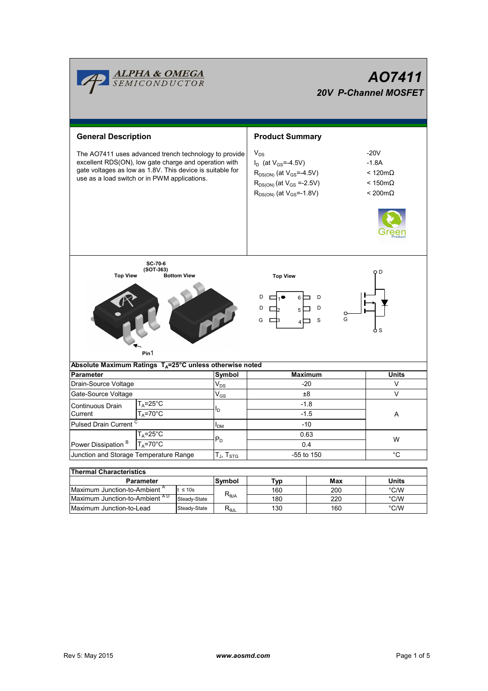|                                                                                                                                                                                                                             | <mark>ALPHA &amp; OMEGA</mark><br>SEMICONDUCTOR          |  |                            | AO7411<br>20V P-Channel MOSFET                                                                                                                                |                                                                                                 |                |  |  |  |
|-----------------------------------------------------------------------------------------------------------------------------------------------------------------------------------------------------------------------------|----------------------------------------------------------|--|----------------------------|---------------------------------------------------------------------------------------------------------------------------------------------------------------|-------------------------------------------------------------------------------------------------|----------------|--|--|--|
| <b>General Description</b>                                                                                                                                                                                                  |                                                          |  | <b>Product Summary</b>     |                                                                                                                                                               |                                                                                                 |                |  |  |  |
| The AO7411 uses advanced trench technology to provide<br>excellent RDS(ON), low gate charge and operation with<br>gate voltages as low as 1.8V. This device is suitable for<br>use as a load switch or in PWM applications. |                                                          |  |                            | $V_{DS}$<br>$I_D$ (at $V_{GS} = -4.5V$ )<br>$R_{DS(ON)}$ (at $V_{GS} = -4.5V$ )<br>$R_{DS(ON)}$ (at $V_{GS} = -2.5V$ )<br>$R_{DS(ON)}$ (at $V_{GS} = -1.8V$ ) | $-20V$<br>$-1.8A$<br>$< 120 \text{m}\Omega$<br>$< 150 \text{m}\Omega$<br>$< 200 \text{m}\Omega$ |                |  |  |  |
| SC-70-6<br>$(SOT-363)$<br>Q D<br><b>Top View</b><br><b>Top View</b><br><b>Bottom View</b><br>D<br>6 I<br>D<br>D<br>D<br>5 I<br>G<br>G<br>S<br>o S<br>Pin1                                                                   |                                                          |  |                            |                                                                                                                                                               |                                                                                                 |                |  |  |  |
| Absolute Maximum Ratings $T_A = 25^\circ \text{C}$ unless otherwise noted                                                                                                                                                   |                                                          |  |                            |                                                                                                                                                               |                                                                                                 | <b>Units</b>   |  |  |  |
| <b>Parameter</b><br>Drain-Source Voltage                                                                                                                                                                                    |                                                          |  | Symbol<br>$V_{DS}$         |                                                                                                                                                               | <b>Maximum</b><br>$-20$                                                                         | V              |  |  |  |
| Gate-Source Voltage                                                                                                                                                                                                         |                                                          |  | $\mathsf{V}_{\mathsf{GS}}$ |                                                                                                                                                               | $\vee$                                                                                          |                |  |  |  |
|                                                                                                                                                                                                                             | $T_A = 25$ °C                                            |  |                            | ±8<br>$-1.8$                                                                                                                                                  |                                                                                                 |                |  |  |  |
| Continuous Drain                                                                                                                                                                                                            |                                                          |  | lD.                        |                                                                                                                                                               |                                                                                                 |                |  |  |  |
|                                                                                                                                                                                                                             | $T_A = 70$ °C<br>Current                                 |  |                            | $-1.5$                                                                                                                                                        |                                                                                                 | A              |  |  |  |
| <b>Pulsed Drain Current</b>                                                                                                                                                                                                 |                                                          |  | I <sub>DM</sub>            | -10                                                                                                                                                           |                                                                                                 |                |  |  |  |
| 1 <sub>A</sub> =25°C<br>Power Dissipation <sup>B</sup><br>$T_A = 70$ °C                                                                                                                                                     |                                                          |  | $P_D$                      | 0.63<br>0.4                                                                                                                                                   | W                                                                                               |                |  |  |  |
| Junction and Storage Temperature Range                                                                                                                                                                                      |                                                          |  | $T_J$ , $T_{STG}$          | -55 to 150                                                                                                                                                    | $^{\circ}C$                                                                                     |                |  |  |  |
|                                                                                                                                                                                                                             |                                                          |  |                            |                                                                                                                                                               |                                                                                                 |                |  |  |  |
| <b>Thermal Characteristics</b>                                                                                                                                                                                              |                                                          |  |                            |                                                                                                                                                               |                                                                                                 |                |  |  |  |
| Parameter                                                                                                                                                                                                                   |                                                          |  | Symbol                     | Typ                                                                                                                                                           | Max                                                                                             | Units          |  |  |  |
|                                                                                                                                                                                                                             | Maximum Junction-to-Ambient <sup>A</sup><br>$t \leq 10s$ |  | $R_{\theta$ JA             | 160                                                                                                                                                           | 200                                                                                             | $^{\circ}$ C/W |  |  |  |
| Maximum Junction-to-Ambient AD<br>Steady-State                                                                                                                                                                              |                                                          |  | 180                        | 220                                                                                                                                                           | $^{\circ}$ C/W                                                                                  |                |  |  |  |

Г

Steady-State RθJL

Maximum Junction-to-Lead Steady-State R<sub>BJL</sub> 130 160 °C/W

130

160

 $\overline{\phantom{a}}$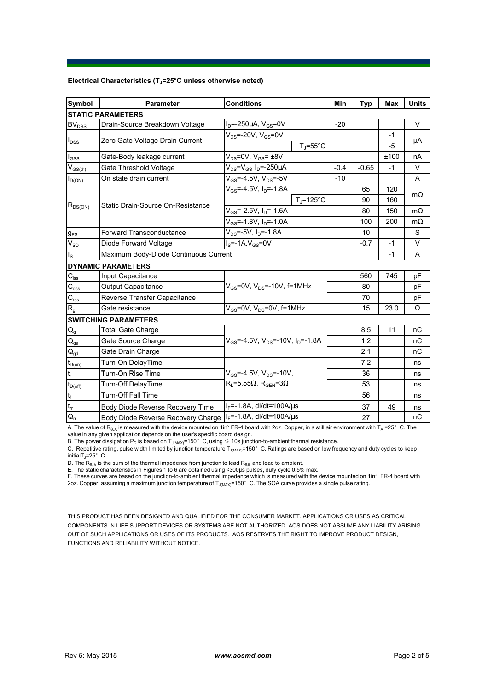## **Electrical Characteristics (TJ=25°C unless otherwise noted)**

| <b>Symbol</b>                          | <b>Parameter</b>                                                      | <b>Conditions</b>                                                    | Min    | Typ     | Max  | <b>Units</b> |  |  |  |  |  |
|----------------------------------------|-----------------------------------------------------------------------|----------------------------------------------------------------------|--------|---------|------|--------------|--|--|--|--|--|
| <b>STATIC PARAMETERS</b>               |                                                                       |                                                                      |        |         |      |              |  |  |  |  |  |
| <b>BV<sub>DSS</sub></b>                | Drain-Source Breakdown Voltage                                        | $I_D$ =-250µA, $V_{GS}$ =0V                                          | $-20$  |         |      | $\vee$       |  |  |  |  |  |
| $I_{DSS}$                              | Zero Gate Voltage Drain Current                                       | $V_{DS}$ =-20V, $V_{GS}$ =0V                                         |        |         | $-1$ |              |  |  |  |  |  |
|                                        |                                                                       | $T_{\rm J}$ =55°C                                                    |        |         | $-5$ | μA           |  |  |  |  |  |
| $I_{GSS}$                              | Gate-Body leakage current                                             | $V_{DS} = 0V$ , $V_{GS} = \pm 8V$                                    |        |         | ±100 | nA           |  |  |  |  |  |
| $V_{GS(th)}$                           | Gate Threshold Voltage                                                | $V_{DS} = V_{GS} I_D = -250 \mu A$                                   | $-0.4$ | $-0.65$ | $-1$ | V            |  |  |  |  |  |
| $I_{D(ON)}$                            | On state drain current                                                | $V_{GS}$ =-4.5V, $V_{DS}$ =-5V                                       | $-10$  |         |      | A            |  |  |  |  |  |
| $R_{DS(ON)}$                           |                                                                       | $V_{GS}$ =-4.5V, $I_{D}$ =-1.8A                                      |        | 65      | 120  |              |  |  |  |  |  |
|                                        |                                                                       | $T_{\rm J}$ =125°C                                                   |        | 90      | 160  | $m\Omega$    |  |  |  |  |  |
|                                        | Static Drain-Source On-Resistance                                     | $V_{GS}$ =-2.5V, $I_{D}$ =-1.6A                                      |        | 80      | 150  | $m\Omega$    |  |  |  |  |  |
|                                        |                                                                       | $V_{GS}$ =-1.8V, $I_D$ =-1.0A                                        |        | 100     | 200  | $m\Omega$    |  |  |  |  |  |
| $g_{FS}$                               | <b>Forward Transconductance</b>                                       | V <sub>DS</sub> =-5V, I <sub>D</sub> =-1.8A                          |        | 10      |      | S            |  |  |  |  |  |
| $V_{SD}$                               | Diode Forward Voltage                                                 | $IS=-1A, VGS=0V$                                                     |        | $-0.7$  | $-1$ | $\vee$       |  |  |  |  |  |
| $I_{\rm S}$                            | Maximum Body-Diode Continuous Current                                 |                                                                      |        | $-1$    | A    |              |  |  |  |  |  |
|                                        | <b>DYNAMIC PARAMETERS</b>                                             |                                                                      |        |         |      |              |  |  |  |  |  |
| $C_{iss}$                              | Input Capacitance                                                     |                                                                      |        | 560     | 745  | pF           |  |  |  |  |  |
| $\overline{C_{\rm oss}}$               | Output Capacitance                                                    | $V_{GS}$ =0V, $V_{DS}$ =-10V, f=1MHz                                 |        | 80      |      | рF           |  |  |  |  |  |
| $C_{\rm rss}$                          | Reverse Transfer Capacitance                                          |                                                                      |        | 70      |      | pF           |  |  |  |  |  |
| R <sub>g</sub>                         | Gate resistance                                                       | $V_{GS}$ =0V, $V_{DS}$ =0V, f=1MHz                                   |        | 15      | 23.0 | Ω            |  |  |  |  |  |
|                                        | <b>SWITCHING PARAMETERS</b>                                           |                                                                      |        |         |      |              |  |  |  |  |  |
| $\mathsf{Q}_{\mathsf{g}}$              | <b>Total Gate Charge</b>                                              |                                                                      |        | 8.5     | 11   | nC           |  |  |  |  |  |
| $\mathsf{Q}_{\underline{\mathsf{gs}}}$ | Gate Source Charge                                                    | $V_{\text{GS}}$ =-4.5V, $V_{\text{DS}}$ =-10V, $I_{\text{D}}$ =-1.8A |        | 1.2     |      | пC           |  |  |  |  |  |
| $Q_{gd}$                               | Gate Drain Charge                                                     |                                                                      |        | 2.1     |      | nC           |  |  |  |  |  |
| $t_{D(0n)}$                            | Turn-On DelayTime                                                     |                                                                      |        | 7.2     |      | ns           |  |  |  |  |  |
| $\mathsf{t}_{\sf r}$                   | Turn-On Rise Time                                                     | $V_{GS}$ =-4.5V, $V_{DS}$ =-10V,                                     |        | 36      |      | ns           |  |  |  |  |  |
| $t_{D(off)}$                           | $R_1 = 5.55\Omega$ , $R_{\text{GEN}} = 3\Omega$<br>Turn-Off DelayTime |                                                                      |        | 53      |      | ns           |  |  |  |  |  |
| $t_f$                                  | Turn-Off Fall Time                                                    |                                                                      |        | 56      |      | ns           |  |  |  |  |  |
| $\mathfrak{t}_{\mathfrak{m}}$          | Body Diode Reverse Recovery Time                                      | $I_F = -1.8A$ , dl/dt=100A/ $\mu$ s                                  |        | 37      | 49   | ns           |  |  |  |  |  |
| $Q_{rr}$                               | Body Diode Reverse Recovery Charge                                    | $I_F = -1.8A$ , dl/dt=100A/ $\mu$ s                                  |        | 27      |      | nC           |  |  |  |  |  |

A. The value of R<sub>BJA</sub> is measured with the device mounted on 1in<sup>2</sup> FR-4 board with 2oz. Copper, in a still air environment with T<sub>A</sub> =25°C. The

value in any given application depends on the user's specific board design.<br>B. The power dissipation P<sub>D</sub> is based on T<sub>J(MAX)</sub>=150°C, using ≤ 10s junction-to-ambient thermal resistance.

C. Repetitive rating, pulse width limited by junction temperature  $T_{\rm J(MAX)}$ =150°C. Ratings are based on low frequency and duty cycles to keep initialT $_1$ =25°C.

D. The  $R_{\theta JA}$  is the sum of the thermal impedence from junction to lead  $R_{\theta JL}$  and lead to ambient.

E. The static characteristics in Figures 1 to 6 are obtained using <300us pulses, duty cycle 0.5% max.

F. These curves are based on the junction-to-ambient thermal impedence which is measured with the device mounted on 1in<sup>2</sup> FR-4 board with 2oz. Copper, assuming a maximum junction temperature of  $T_{J(MAX)}$ =150°C. The SOA curve provides a single pulse rating.

THIS PRODUCT HAS BEEN DESIGNED AND QUALIFIED FOR THE CONSUMER MARKET. APPLICATIONS OR USES AS CRITICAL COMPONENTS IN LIFE SUPPORT DEVICES OR SYSTEMS ARE NOT AUTHORIZED. AOS DOES NOT ASSUME ANY LIABILITY ARISING OUT OF SUCH APPLICATIONS OR USES OF ITS PRODUCTS. AOS RESERVES THE RIGHT TO IMPROVE PRODUCT DESIGN, FUNCTIONS AND RELIABILITY WITHOUT NOTICE.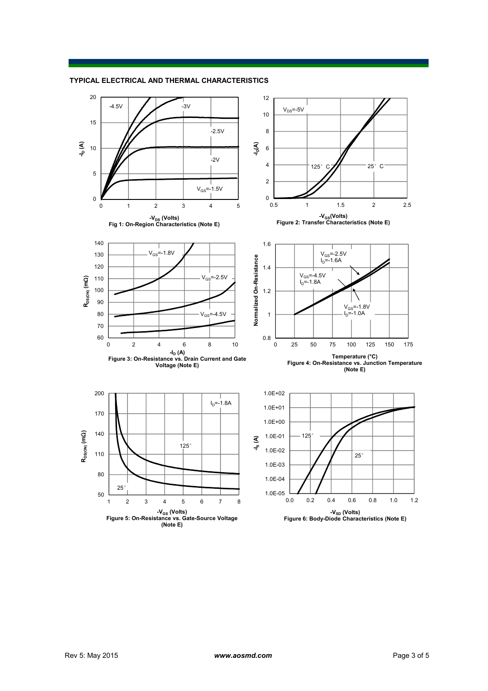

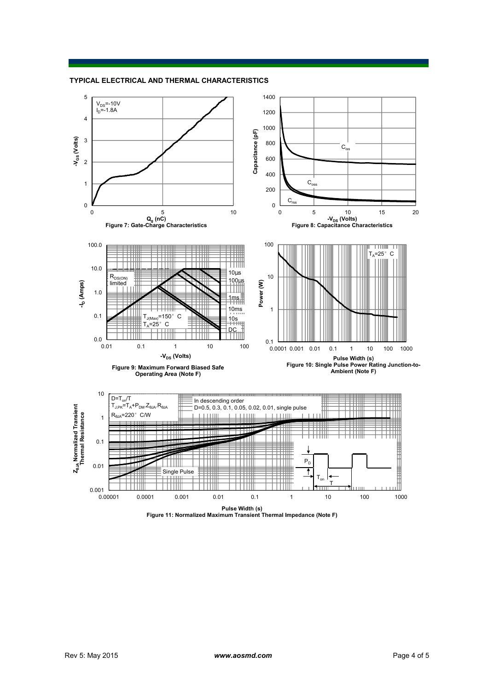## **TYPICAL ELECTRICAL AND THERMAL CHARACTERISTICS**